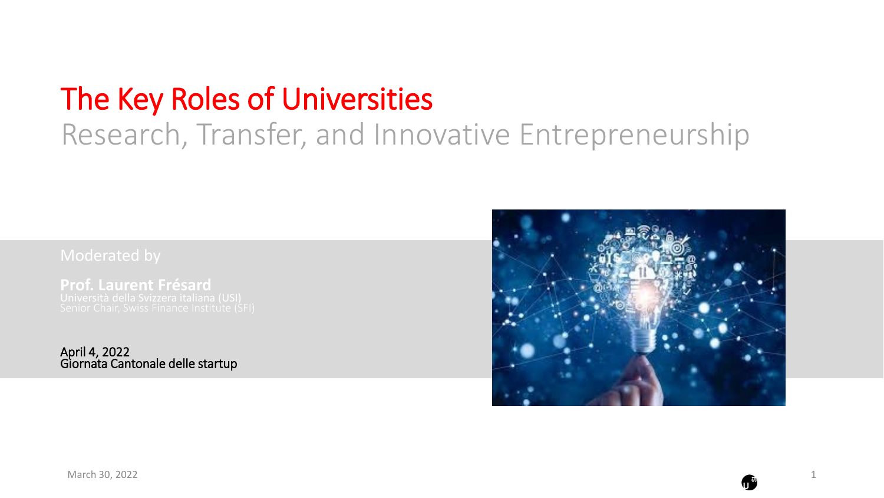# The Key Roles of Universities Research, Transfer, and Innovative Entrepreneurship

**Prof. Laurent Frésard**

April 4, 2022 Giornata Cantonale delle startup

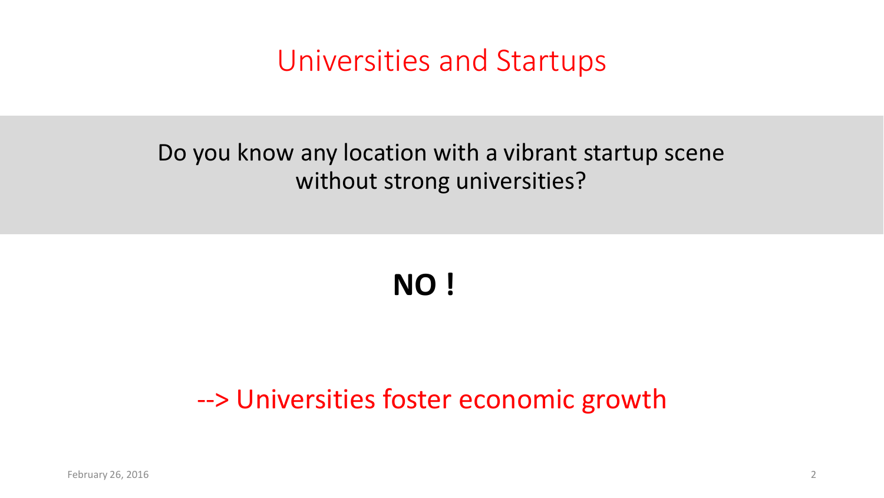### Universities and Startups

#### Do you know any location with a vibrant startup scene without strong universities?

# **NO !**

#### --> Universities foster economic growth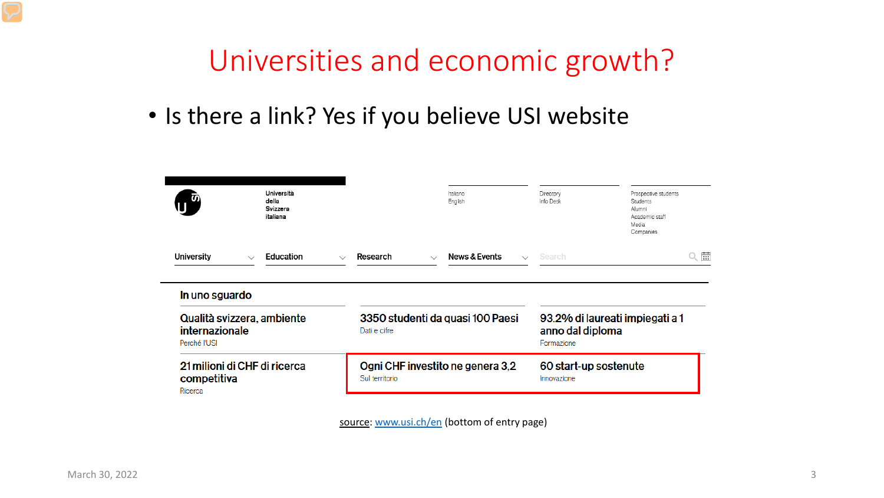### Universities and economic growth?

• Is there a link? Yes if you believe USI website

|                                                              | Università<br>della<br>Svizzera<br>italiana |                                                    | Italiano<br>English                         | Directory<br>Info Desk                                            | Prospective students<br>Students<br>Alumni<br>Academic staff<br>Media<br>Companies |
|--------------------------------------------------------------|---------------------------------------------|----------------------------------------------------|---------------------------------------------|-------------------------------------------------------------------|------------------------------------------------------------------------------------|
| University<br>$\checkmark$                                   | Education                                   | Research<br>$\sim$                                 | News & Events<br>$\checkmark$<br>$\searrow$ | Search                                                            | $\frac{1}{\cdots}$                                                                 |
| In uno sguardo                                               |                                             |                                                    |                                             |                                                                   |                                                                                    |
| Qualità svizzera, ambiente<br>internazionale<br>Perché l'USI |                                             | 3350 studenti da quasi 100 Paesi<br>Dati e cifre   |                                             | 93.2% di laureati impiegati a 1<br>anno dal diploma<br>Formazione |                                                                                    |
| 21 milioni di CHF di ricerca<br>competitiva<br>Ricerca       |                                             | Ogni CHF investito ne genera 3,2<br>Sul territorio |                                             | 60 start-up sostenute<br>Innovazione                              |                                                                                    |

source: [www.usi.ch/en](http://www.usi.ch/en) (bottom of entry page)

 $\overline{\phantom{a}}$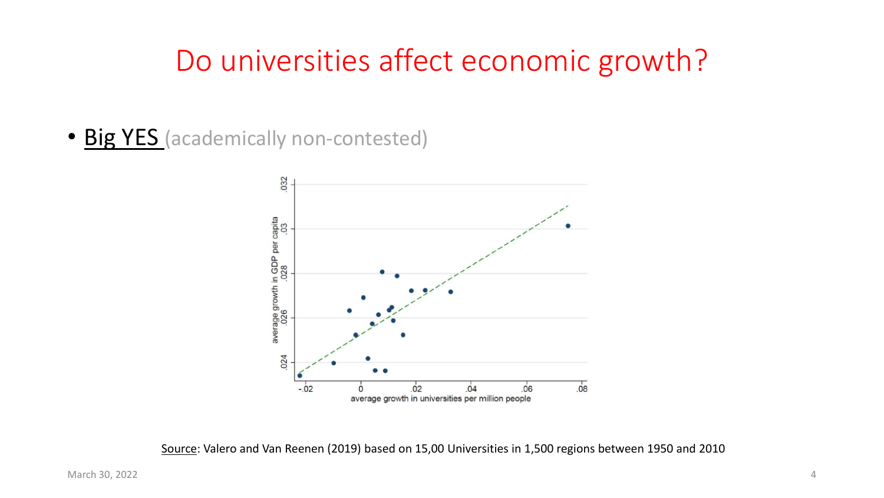### Do universities affect economic growth?

• Big YES (academically non-contested)



Source: Valero and Van Reenen (2019) based on 15,00 Universities in 1,500 regions between 1950 and 2010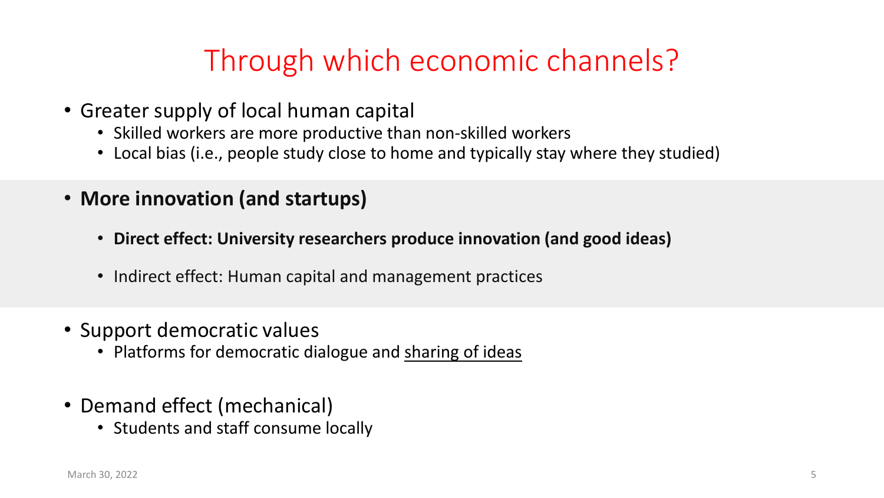# Through which economic channels?

- Greater supply of local human capital
	- Skilled workers are more productive than non-skilled workers
	- Local bias (i.e., people study close to home and typically stay where they studied)
- **More innovation (and startups)**
	- **Direct effect: University researchers produce innovation (and good ideas)**
	- Indirect effect: Human capital and management practices
- Support democratic values
	- Platforms for democratic dialogue and sharing of ideas
- Demand effect (mechanical)
	- Students and staff consume locally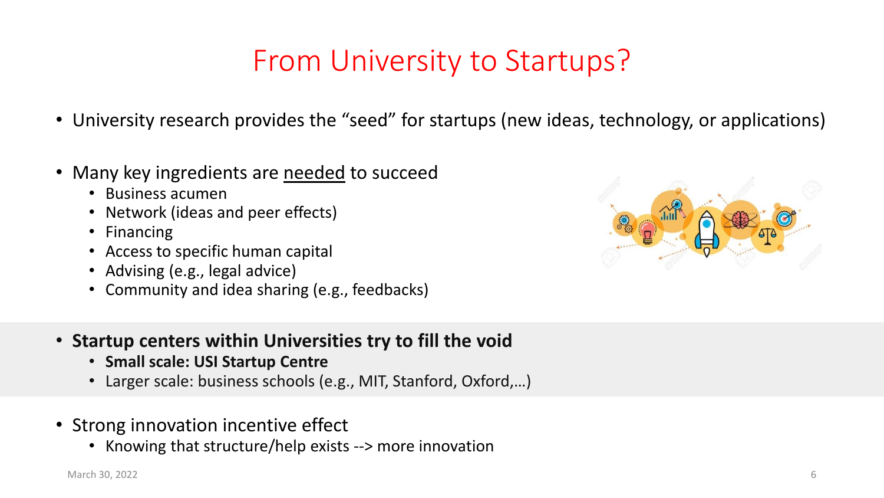### From University to Startups?

- University research provides the "seed" for startups (new ideas, technology, or applications)
- Many key ingredients are needed to succeed
	- Business acumen
	- Network (ideas and peer effects)
	- Financing
	- Access to specific human capital
	- Advising (e.g., legal advice)
	- Community and idea sharing (e.g., feedbacks)



- **Startup centers within Universities try to fill the void**
	- **Small scale: USI Startup Centre**
	- Larger scale: business schools (e.g., MIT, Stanford, Oxford,…)
- Strong innovation incentive effect
	- Knowing that structure/help exists --> more innovation